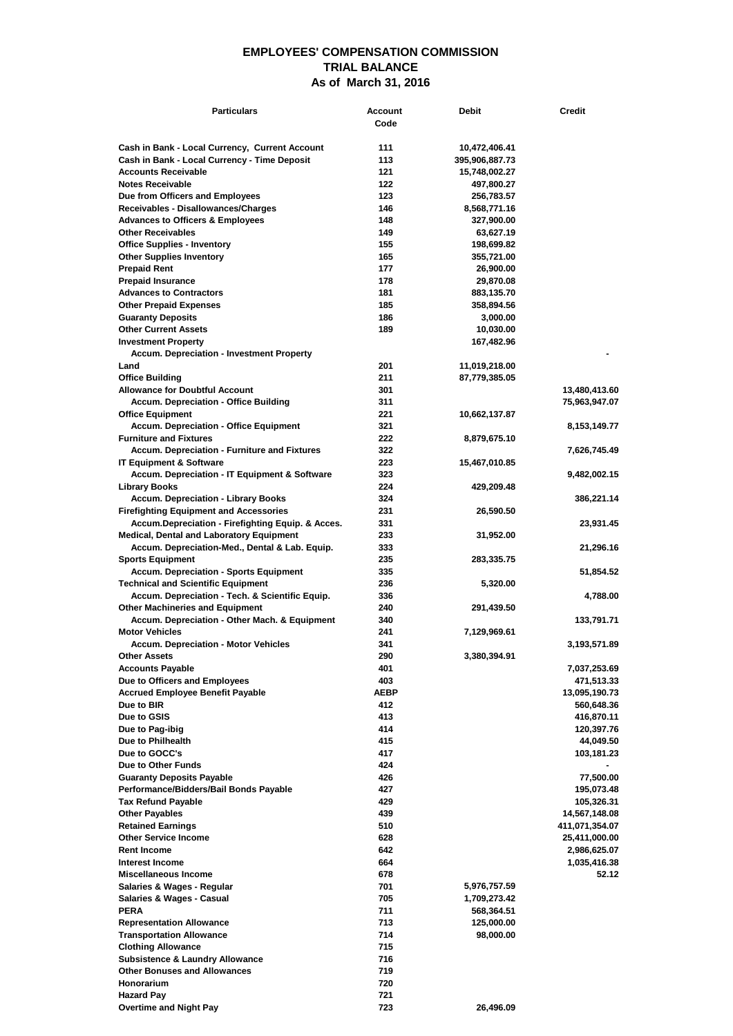## **EMPLOYEES' COMPENSATION COMMISSION TRIAL BALANCE As of March 31, 2016**

| <b>Particulars</b>                                                                   | Account<br>Code | <b>Debit</b>                    | Credit                   |
|--------------------------------------------------------------------------------------|-----------------|---------------------------------|--------------------------|
| Cash in Bank - Local Currency, Current Account                                       |                 |                                 |                          |
| Cash in Bank - Local Currency - Time Deposit                                         | 111<br>113      | 10,472,406.41<br>395,906,887.73 |                          |
| <b>Accounts Receivable</b>                                                           | 121             | 15,748,002.27                   |                          |
| <b>Notes Receivable</b>                                                              | 122             | 497,800.27                      |                          |
| Due from Officers and Employees                                                      | 123             | 256,783.57                      |                          |
| Receivables - Disallowances/Charges                                                  | 146             | 8,568,771.16                    |                          |
| <b>Advances to Officers &amp; Employees</b>                                          | 148             | 327,900.00                      |                          |
| <b>Other Receivables</b>                                                             | 149             | 63,627.19                       |                          |
| <b>Office Supplies - Inventory</b>                                                   | 155             | 198,699.82                      |                          |
| <b>Other Supplies Inventory</b>                                                      | 165             | 355,721.00                      |                          |
| <b>Prepaid Rent</b>                                                                  | 177<br>178      | 26,900.00                       |                          |
| <b>Prepaid Insurance</b><br><b>Advances to Contractors</b>                           | 181             | 29,870.08<br>883,135.70         |                          |
| <b>Other Prepaid Expenses</b>                                                        | 185             | 358,894.56                      |                          |
| <b>Guaranty Deposits</b>                                                             | 186             | 3,000.00                        |                          |
| <b>Other Current Assets</b>                                                          | 189             | 10,030.00                       |                          |
| <b>Investment Property</b>                                                           |                 | 167,482.96                      |                          |
| <b>Accum. Depreciation - Investment Property</b>                                     |                 |                                 |                          |
| Land                                                                                 | 201             | 11,019,218.00                   |                          |
| <b>Office Building</b>                                                               | 211             | 87,779,385.05                   |                          |
| <b>Allowance for Doubtful Account</b>                                                | 301             |                                 | 13,480,413.60            |
| <b>Accum. Depreciation - Office Building</b>                                         | 311             |                                 | 75,963,947.07            |
| <b>Office Equipment</b>                                                              | 221             | 10,662,137.87                   |                          |
| <b>Accum. Depreciation - Office Equipment</b>                                        | 321             |                                 | 8,153,149.77             |
| <b>Furniture and Fixtures</b><br><b>Accum. Depreciation - Furniture and Fixtures</b> | 222<br>322      | 8,879,675.10                    |                          |
| <b>IT Equipment &amp; Software</b>                                                   | 223             | 15,467,010.85                   | 7,626,745.49             |
| Accum. Depreciation - IT Equipment & Software                                        | 323             |                                 | 9,482,002.15             |
| Library Books                                                                        | 224             | 429,209.48                      |                          |
| <b>Accum. Depreciation - Library Books</b>                                           | 324             |                                 | 386,221.14               |
| <b>Firefighting Equipment and Accessories</b>                                        | 231             | 26,590.50                       |                          |
| Accum.Depreciation - Firefighting Equip. & Acces.                                    | 331             |                                 | 23,931.45                |
| <b>Medical, Dental and Laboratory Equipment</b>                                      | 233             | 31,952.00                       |                          |
| Accum. Depreciation-Med., Dental & Lab. Equip.                                       | 333             |                                 | 21,296.16                |
| <b>Sports Equipment</b>                                                              | 235             | 283,335.75                      |                          |
| <b>Accum. Depreciation - Sports Equipment</b>                                        | 335             |                                 | 51,854.52                |
| <b>Technical and Scientific Equipment</b>                                            | 236             | 5,320.00                        |                          |
| Accum. Depreciation - Tech. & Scientific Equip.                                      | 336             |                                 | 4,788.00                 |
| <b>Other Machineries and Equipment</b>                                               | 240             | 291,439.50                      |                          |
| Accum. Depreciation - Other Mach. & Equipment<br><b>Motor Vehicles</b>               | 340<br>241      | 7,129,969.61                    | 133,791.71               |
| <b>Accum. Depreciation - Motor Vehicles</b>                                          | 341             |                                 | 3,193,571.89             |
| <b>Other Assets</b>                                                                  | 290             | 3,380,394.91                    |                          |
| <b>Accounts Payable</b>                                                              | 401             |                                 | 7,037,253.69             |
| Due to Officers and Employees                                                        | 403             |                                 | 471,513.33               |
| <b>Accrued Employee Benefit Payable</b>                                              | <b>AEBP</b>     |                                 | 13,095,190.73            |
| Due to BIR                                                                           | 412             |                                 | 560,648.36               |
| Due to GSIS                                                                          | 413             |                                 | 416,870.11               |
| Due to Pag-ibig                                                                      | 414             |                                 | 120,397.76               |
| Due to Philhealth                                                                    | 415             |                                 | 44,049.50                |
| Due to GOCC's                                                                        | 417             |                                 | 103,181.23               |
| Due to Other Funds                                                                   | 424             |                                 | ٠                        |
| <b>Guaranty Deposits Payable</b>                                                     | 426             |                                 | 77,500.00                |
| Performance/Bidders/Bail Bonds Payable<br><b>Tax Refund Payable</b>                  | 427<br>429      |                                 | 195,073.48<br>105,326.31 |
| <b>Other Payables</b>                                                                | 439             |                                 | 14,567,148.08            |
| <b>Retained Earnings</b>                                                             | 510             |                                 | 411,071,354.07           |
| <b>Other Service Income</b>                                                          | 628             |                                 | 25,411,000.00            |
| <b>Rent Income</b>                                                                   | 642             |                                 | 2,986,625.07             |
| Interest Income                                                                      | 664             |                                 | 1,035,416.38             |
| Miscellaneous Income                                                                 | 678             |                                 | 52.12                    |
| Salaries & Wages - Regular                                                           | 701             | 5,976,757.59                    |                          |
| Salaries & Wages - Casual                                                            | 705             | 1,709,273.42                    |                          |
| PERA                                                                                 | 711             | 568,364.51                      |                          |
| <b>Representation Allowance</b>                                                      | 713             | 125,000.00                      |                          |
| <b>Transportation Allowance</b>                                                      | 714             | 98,000.00                       |                          |
| <b>Clothing Allowance</b>                                                            | 715             |                                 |                          |
| <b>Subsistence &amp; Laundry Allowance</b>                                           | 716             |                                 |                          |
| <b>Other Bonuses and Allowances</b>                                                  | 719             |                                 |                          |
| Honorarium                                                                           | 720<br>721      |                                 |                          |
| <b>Hazard Pay</b><br><b>Overtime and Night Pay</b>                                   | 723             | 26,496.09                       |                          |
|                                                                                      |                 |                                 |                          |